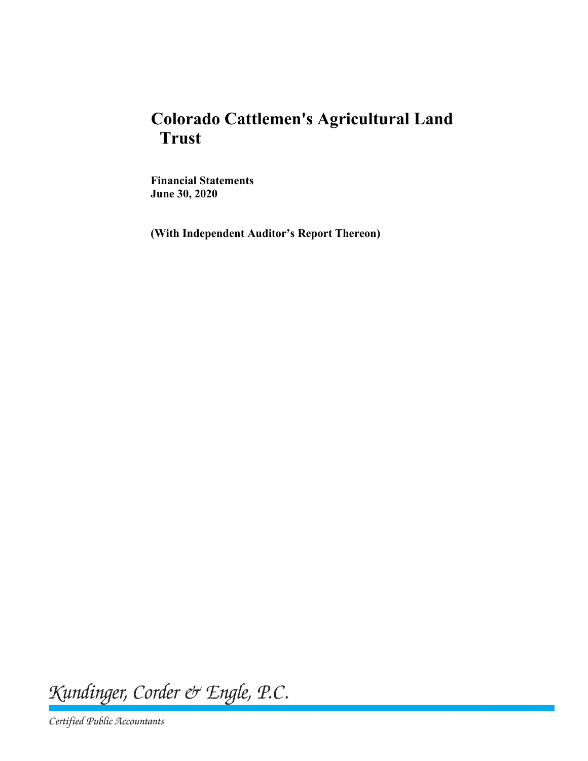# **Colorado Cattlemen's Agricultural Land Trust**

**Financial Statements June 30, 2020**

**(With Independent Auditor's Report Thereon)**

Kundinger, Corder & Engle, P.C.

Certified Public Accountants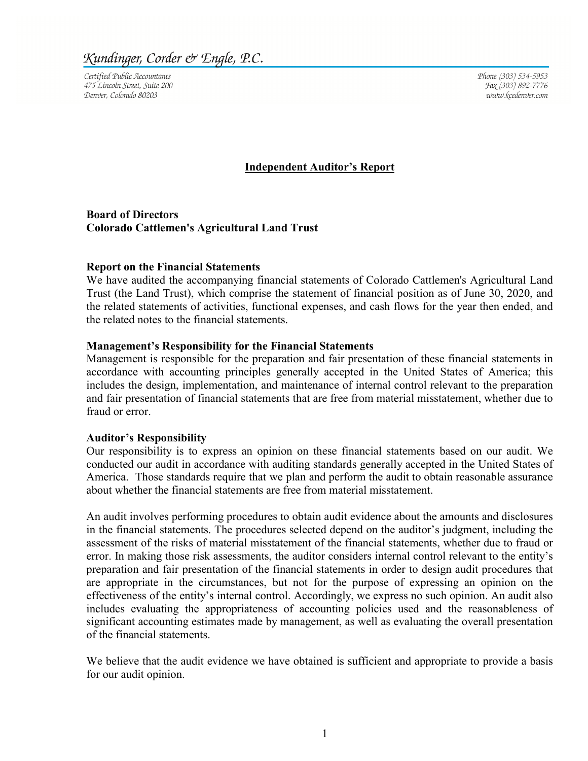Certified Public Accountants 475 Lincoln Street, Suite 200 Denver, Colorado 80203

Phone (303) 534-5953 Fax (303) 892-7776 www.kcedenver.com

## **Independent Auditor's Report**

**Board of Directors Colorado Cattlemen's Agricultural Land Trust**

#### **Report on the Financial Statements**

We have audited the accompanying financial statements of Colorado Cattlemen's Agricultural Land Trust (the Land Trust), which comprise the statement of financial position as of June 30, 2020, and the related statements of activities, functional expenses, and cash flows for the year then ended, and the related notes to the financial statements.

#### **Management's Responsibility for the Financial Statements**

Management is responsible for the preparation and fair presentation of these financial statements in accordance with accounting principles generally accepted in the United States of America; this includes the design, implementation, and maintenance of internal control relevant to the preparation and fair presentation of financial statements that are free from material misstatement, whether due to fraud or error.

#### **Auditor's Responsibility**

Our responsibility is to express an opinion on these financial statements based on our audit. We conducted our audit in accordance with auditing standards generally accepted in the United States of America. Those standards require that we plan and perform the audit to obtain reasonable assurance about whether the financial statements are free from material misstatement.

An audit involves performing procedures to obtain audit evidence about the amounts and disclosures in the financial statements. The procedures selected depend on the auditor's judgment, including the assessment of the risks of material misstatement of the financial statements, whether due to fraud or error. In making those risk assessments, the auditor considers internal control relevant to the entity's preparation and fair presentation of the financial statements in order to design audit procedures that are appropriate in the circumstances, but not for the purpose of expressing an opinion on the effectiveness of the entity's internal control. Accordingly, we express no such opinion. An audit also includes evaluating the appropriateness of accounting policies used and the reasonableness of significant accounting estimates made by management, as well as evaluating the overall presentation of the financial statements.

We believe that the audit evidence we have obtained is sufficient and appropriate to provide a basis for our audit opinion.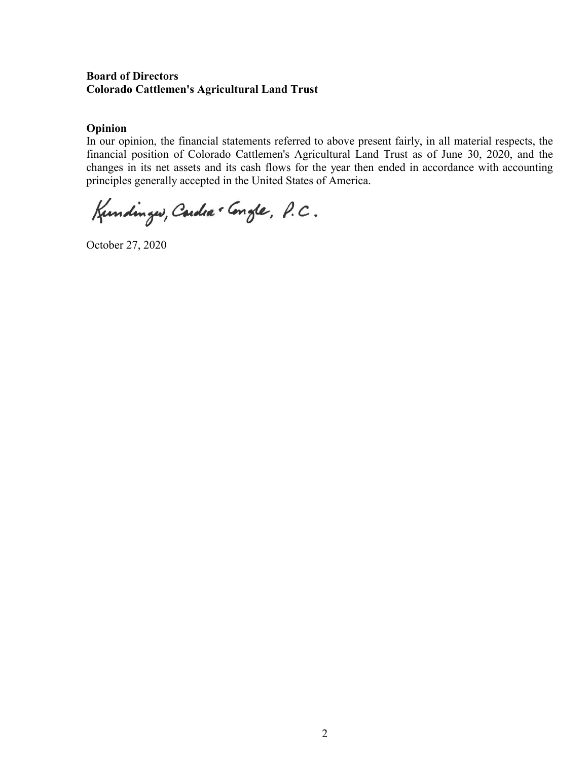## **Board of Directors Colorado Cattlemen's Agricultural Land Trust**

## **Opinion**

In our opinion, the financial statements referred to above present fairly, in all material respects, the financial position of Colorado Cattlemen's Agricultural Land Trust as of June 30, 2020, and the changes in its net assets and its cash flows for the year then ended in accordance with accounting principles generally accepted in the United States of America.

Kundinger, Cardia . Congle, P.C.

October 27, 2020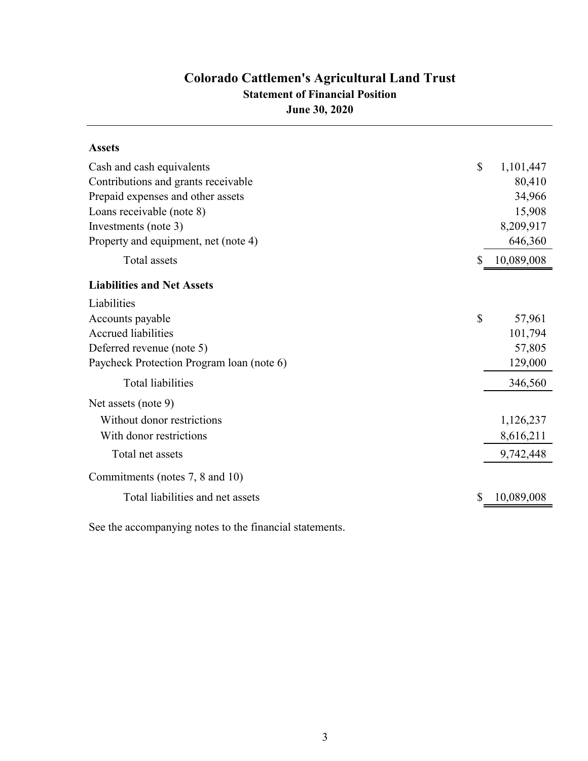## **Colorado Cattlemen's Agricultural Land Trust Statement of Financial Position June 30, 2020**

| <b>Assets</b>                             |               |            |
|-------------------------------------------|---------------|------------|
| Cash and cash equivalents                 | $\mathcal{S}$ | 1,101,447  |
| Contributions and grants receivable       |               | 80,410     |
| Prepaid expenses and other assets         |               | 34,966     |
| Loans receivable (note 8)                 |               | 15,908     |
| Investments (note 3)                      |               | 8,209,917  |
| Property and equipment, net (note 4)      |               | 646,360    |
| Total assets                              |               | 10,089,008 |
| <b>Liabilities and Net Assets</b>         |               |            |
| Liabilities                               |               |            |
| Accounts payable                          | $\mathcal{S}$ | 57,961     |
| <b>Accrued liabilities</b>                |               | 101,794    |
| Deferred revenue (note 5)                 |               | 57,805     |
| Paycheck Protection Program loan (note 6) |               | 129,000    |
| <b>Total liabilities</b>                  |               | 346,560    |
| Net assets (note 9)                       |               |            |
| Without donor restrictions                |               | 1,126,237  |
| With donor restrictions                   |               | 8,616,211  |
| Total net assets                          |               | 9,742,448  |
| Commitments (notes 7, 8 and 10)           |               |            |
| Total liabilities and net assets          |               | 10,089,008 |

See the accompanying notes to the financial statements.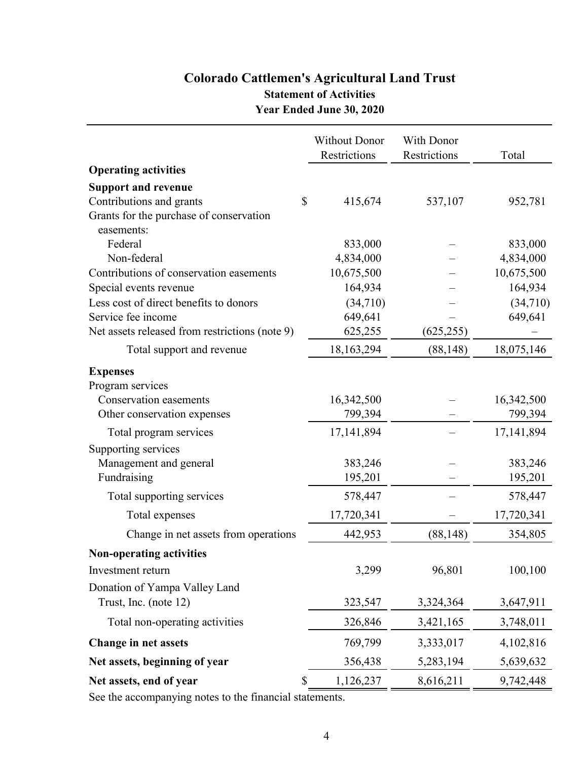## **Colorado Cattlemen's Agricultural Land Trust Statement of Activities Year Ended June 30, 2020**

|                                                | <b>Without Donor</b> | With Donor   |              |
|------------------------------------------------|----------------------|--------------|--------------|
|                                                | Restrictions         | Restrictions | Total        |
| <b>Operating activities</b>                    |                      |              |              |
| <b>Support and revenue</b>                     |                      |              |              |
| Contributions and grants                       | \$<br>415,674        | 537,107      | 952,781      |
| Grants for the purchase of conservation        |                      |              |              |
| easements:                                     |                      |              |              |
| Federal                                        | 833,000              |              | 833,000      |
| Non-federal                                    | 4,834,000            |              | 4,834,000    |
| Contributions of conservation easements        | 10,675,500           |              | 10,675,500   |
| Special events revenue                         | 164,934              |              | 164,934      |
| Less cost of direct benefits to donors         | (34,710)             |              | (34,710)     |
| Service fee income                             | 649,641              |              | 649,641      |
| Net assets released from restrictions (note 9) | 625,255              | (625, 255)   |              |
| Total support and revenue                      | 18,163,294           | (88, 148)    | 18,075,146   |
| <b>Expenses</b>                                |                      |              |              |
| Program services                               |                      |              |              |
| Conservation easements                         | 16,342,500           |              | 16,342,500   |
| Other conservation expenses                    | 799,394              |              | 799,394      |
| Total program services                         | 17,141,894           |              | 17, 141, 894 |
| Supporting services                            |                      |              |              |
| Management and general                         | 383,246              |              | 383,246      |
| Fundraising                                    | 195,201              |              | 195,201      |
| Total supporting services                      | 578,447              |              | 578,447      |
| Total expenses                                 | 17,720,341           |              | 17,720,341   |
| Change in net assets from operations           | 442,953              | (88, 148)    | 354,805      |
| <b>Non-operating activities</b>                |                      |              |              |
| Investment return                              | 3,299                | 96,801       | 100,100      |
| Donation of Yampa Valley Land                  |                      |              |              |
| Trust, Inc. (note 12)                          | 323,547              | 3,324,364    | 3,647,911    |
| Total non-operating activities                 | 326,846              | 3,421,165    | 3,748,011    |
| <b>Change in net assets</b>                    | 769,799              | 3,333,017    | 4,102,816    |
| Net assets, beginning of year                  | 356,438              | 5,283,194    | 5,639,632    |
| Net assets, end of year                        | \$<br>1,126,237      | 8,616,211    | 9,742,448    |
|                                                |                      |              |              |

See the accompanying notes to the financial statements.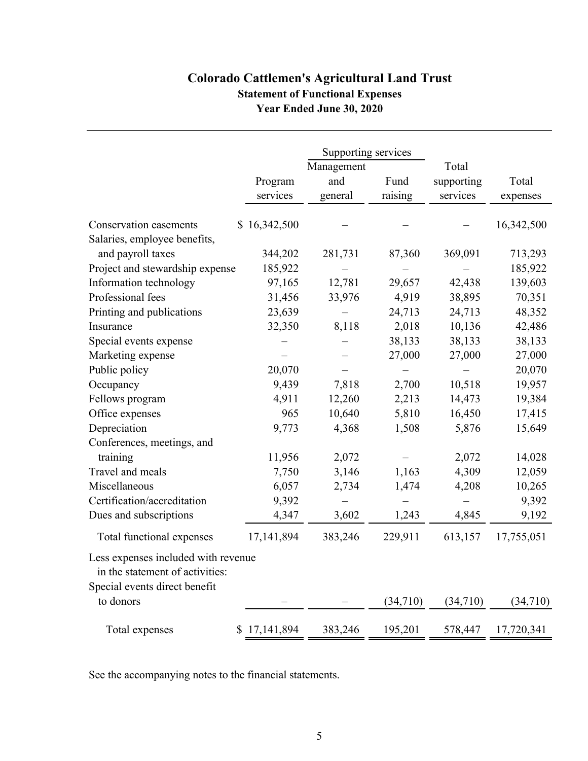## **Colorado Cattlemen's Agricultural Land Trust Statement of Functional Expenses Year Ended June 30, 2020**

|                                                                                                         | Program<br>services | Supporting services<br>Management<br>and<br>general | Fund<br>raising | Total<br>supporting<br>services | Total<br>expenses |
|---------------------------------------------------------------------------------------------------------|---------------------|-----------------------------------------------------|-----------------|---------------------------------|-------------------|
| Conservation easements                                                                                  | \$16,342,500        |                                                     |                 |                                 | 16,342,500        |
| Salaries, employee benefits,                                                                            |                     |                                                     |                 |                                 |                   |
| and payroll taxes                                                                                       | 344,202             | 281,731                                             | 87,360          | 369,091                         | 713,293           |
| Project and stewardship expense                                                                         | 185,922             |                                                     |                 |                                 | 185,922           |
| Information technology                                                                                  | 97,165              | 12,781                                              | 29,657          | 42,438                          | 139,603           |
| Professional fees                                                                                       | 31,456              | 33,976                                              | 4,919           | 38,895                          | 70,351            |
| Printing and publications                                                                               | 23,639              |                                                     | 24,713          | 24,713                          | 48,352            |
| Insurance                                                                                               | 32,350              | 8,118                                               | 2,018           | 10,136                          | 42,486            |
| Special events expense                                                                                  |                     |                                                     | 38,133          | 38,133                          | 38,133            |
| Marketing expense                                                                                       |                     |                                                     | 27,000          | 27,000                          | 27,000            |
| Public policy                                                                                           | 20,070              |                                                     |                 |                                 | 20,070            |
| Occupancy                                                                                               | 9,439               | 7,818                                               | 2,700           | 10,518                          | 19,957            |
| Fellows program                                                                                         | 4,911               | 12,260                                              | 2,213           | 14,473                          | 19,384            |
| Office expenses                                                                                         | 965                 | 10,640                                              | 5,810           | 16,450                          | 17,415            |
| Depreciation                                                                                            | 9,773               | 4,368                                               | 1,508           | 5,876                           | 15,649            |
| Conferences, meetings, and                                                                              |                     |                                                     |                 |                                 |                   |
| training                                                                                                | 11,956              | 2,072                                               |                 | 2,072                           | 14,028            |
| Travel and meals                                                                                        | 7,750               | 3,146                                               | 1,163           | 4,309                           | 12,059            |
| Miscellaneous                                                                                           | 6,057               | 2,734                                               | 1,474           | 4,208                           | 10,265            |
| Certification/accreditation                                                                             | 9,392               |                                                     |                 |                                 | 9,392             |
| Dues and subscriptions                                                                                  | 4,347               | 3,602                                               | 1,243           | 4,845                           | 9,192             |
| Total functional expenses                                                                               | 17,141,894          | 383,246                                             | 229,911         | 613,157                         | 17,755,051        |
| Less expenses included with revenue<br>in the statement of activities:<br>Special events direct benefit |                     |                                                     |                 |                                 |                   |
| to donors                                                                                               |                     |                                                     | (34,710)        | (34,710)                        | (34,710)          |
|                                                                                                         |                     |                                                     |                 |                                 |                   |
| Total expenses                                                                                          | \$17,141,894        | 383,246                                             | 195,201         | 578,447                         | 17,720,341        |

See the accompanying notes to the financial statements.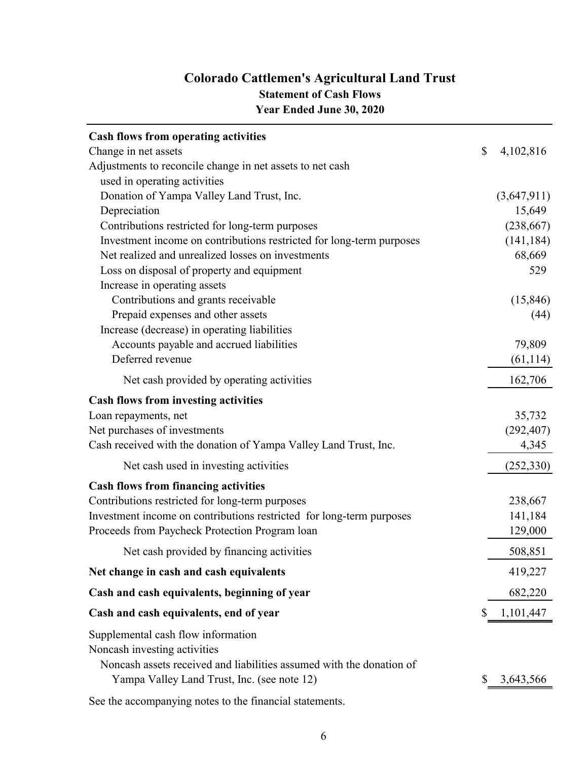## **Year Ended June 30, 2020 Statement of Cash Flows Colorado Cattlemen's Agricultural Land Trust**

| <b>Cash flows from operating activities</b>                                                                                                                                               |                 |
|-------------------------------------------------------------------------------------------------------------------------------------------------------------------------------------------|-----------------|
| Change in net assets                                                                                                                                                                      | \$<br>4,102,816 |
| Adjustments to reconcile change in net assets to net cash                                                                                                                                 |                 |
| used in operating activities                                                                                                                                                              |                 |
| Donation of Yampa Valley Land Trust, Inc.                                                                                                                                                 | (3,647,911)     |
| Depreciation                                                                                                                                                                              | 15,649          |
| Contributions restricted for long-term purposes                                                                                                                                           | (238, 667)      |
| Investment income on contributions restricted for long-term purposes                                                                                                                      | (141, 184)      |
| Net realized and unrealized losses on investments                                                                                                                                         | 68,669          |
| Loss on disposal of property and equipment                                                                                                                                                | 529             |
| Increase in operating assets                                                                                                                                                              |                 |
| Contributions and grants receivable                                                                                                                                                       | (15, 846)       |
| Prepaid expenses and other assets                                                                                                                                                         | (44)            |
| Increase (decrease) in operating liabilities                                                                                                                                              |                 |
| Accounts payable and accrued liabilities                                                                                                                                                  | 79,809          |
| Deferred revenue                                                                                                                                                                          | (61, 114)       |
| Net cash provided by operating activities                                                                                                                                                 | 162,706         |
| <b>Cash flows from investing activities</b>                                                                                                                                               |                 |
| Loan repayments, net                                                                                                                                                                      | 35,732          |
| Net purchases of investments                                                                                                                                                              | (292, 407)      |
| Cash received with the donation of Yampa Valley Land Trust, Inc.                                                                                                                          | 4,345           |
| Net cash used in investing activities                                                                                                                                                     | (252, 330)      |
| <b>Cash flows from financing activities</b>                                                                                                                                               |                 |
| Contributions restricted for long-term purposes                                                                                                                                           | 238,667         |
| Investment income on contributions restricted for long-term purposes                                                                                                                      | 141,184         |
| Proceeds from Paycheck Protection Program loan                                                                                                                                            | 129,000         |
| Net cash provided by financing activities                                                                                                                                                 | 508,851         |
| Net change in cash and cash equivalents                                                                                                                                                   | 419,227         |
| Cash and cash equivalents, beginning of year                                                                                                                                              | 682,220         |
| Cash and cash equivalents, end of year                                                                                                                                                    | 1,101,447       |
| Supplemental cash flow information<br>Noncash investing activities<br>Noncash assets received and liabilities assumed with the donation of<br>Yampa Valley Land Trust, Inc. (see note 12) | \$<br>3,643,566 |
|                                                                                                                                                                                           |                 |
| See the accompanying notes to the financial statements.                                                                                                                                   |                 |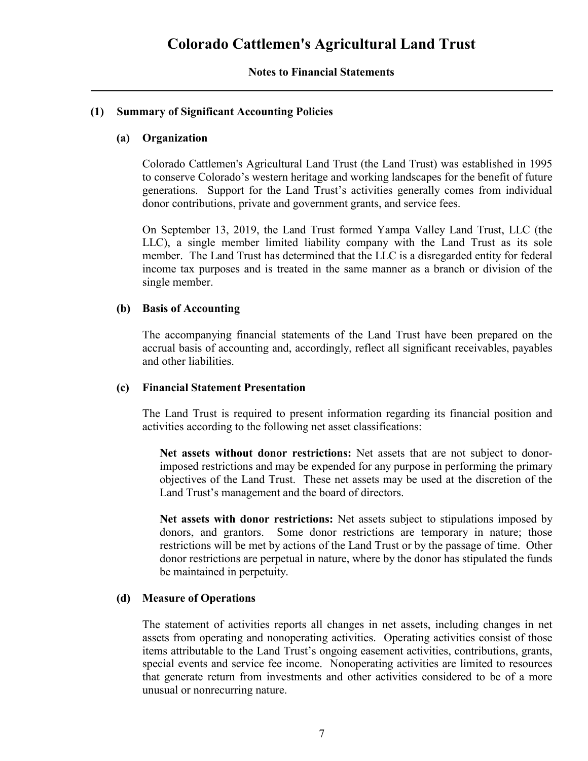#### **Notes to Financial Statements**

### **(1) Summary of Significant Accounting Policies**

#### **(a) Organization**

Colorado Cattlemen's Agricultural Land Trust (the Land Trust) was established in 1995 to conserve Colorado's western heritage and working landscapes for the benefit of future generations. Support for the Land Trust's activities generally comes from individual donor contributions, private and government grants, and service fees.

On September 13, 2019, the Land Trust formed Yampa Valley Land Trust, LLC (the LLC), a single member limited liability company with the Land Trust as its sole member. The Land Trust has determined that the LLC is a disregarded entity for federal income tax purposes and is treated in the same manner as a branch or division of the single member.

#### **(b) Basis of Accounting**

The accompanying financial statements of the Land Trust have been prepared on the accrual basis of accounting and, accordingly, reflect all significant receivables, payables and other liabilities.

#### **(c) Financial Statement Presentation**

The Land Trust is required to present information regarding its financial position and activities according to the following net asset classifications:

**Net assets without donor restrictions:** Net assets that are not subject to donorimposed restrictions and may be expended for any purpose in performing the primary objectives of the Land Trust. These net assets may be used at the discretion of the Land Trust's management and the board of directors.

**Net assets with donor restrictions:** Net assets subject to stipulations imposed by donors, and grantors. Some donor restrictions are temporary in nature; those restrictions will be met by actions of the Land Trust or by the passage of time. Other donor restrictions are perpetual in nature, where by the donor has stipulated the funds be maintained in perpetuity.

### **(d) Measure of Operations**

The statement of activities reports all changes in net assets, including changes in net assets from operating and nonoperating activities. Operating activities consist of those items attributable to the Land Trust's ongoing easement activities, contributions, grants, special events and service fee income. Nonoperating activities are limited to resources that generate return from investments and other activities considered to be of a more unusual or nonrecurring nature.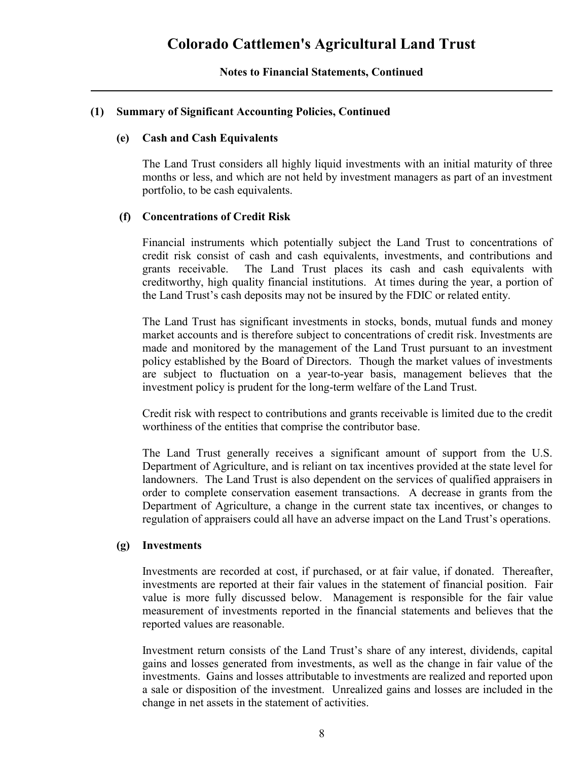## **(1) Summary of Significant Accounting Policies, Continued**

## **(e) Cash and Cash Equivalents**

The Land Trust considers all highly liquid investments with an initial maturity of three months or less, and which are not held by investment managers as part of an investment portfolio, to be cash equivalents.

## **(f) Concentrations of Credit Risk**

Financial instruments which potentially subject the Land Trust to concentrations of credit risk consist of cash and cash equivalents, investments, and contributions and grants receivable. The Land Trust places its cash and cash equivalents with creditworthy, high quality financial institutions. At times during the year, a portion of the Land Trust's cash deposits may not be insured by the FDIC or related entity.

The Land Trust has significant investments in stocks, bonds, mutual funds and money market accounts and is therefore subject to concentrations of credit risk. Investments are made and monitored by the management of the Land Trust pursuant to an investment policy established by the Board of Directors. Though the market values of investments are subject to fluctuation on a year-to-year basis, management believes that the investment policy is prudent for the long-term welfare of the Land Trust.

Credit risk with respect to contributions and grants receivable is limited due to the credit worthiness of the entities that comprise the contributor base.

The Land Trust generally receives a significant amount of support from the U.S. Department of Agriculture, and is reliant on tax incentives provided at the state level for landowners. The Land Trust is also dependent on the services of qualified appraisers in order to complete conservation easement transactions. A decrease in grants from the Department of Agriculture, a change in the current state tax incentives, or changes to regulation of appraisers could all have an adverse impact on the Land Trust's operations.

### **(g) Investments**

Investments are recorded at cost, if purchased, or at fair value, if donated. Thereafter, investments are reported at their fair values in the statement of financial position. Fair value is more fully discussed below. Management is responsible for the fair value measurement of investments reported in the financial statements and believes that the reported values are reasonable.

Investment return consists of the Land Trust's share of any interest, dividends, capital gains and losses generated from investments, as well as the change in fair value of the investments. Gains and losses attributable to investments are realized and reported upon a sale or disposition of the investment. Unrealized gains and losses are included in the change in net assets in the statement of activities.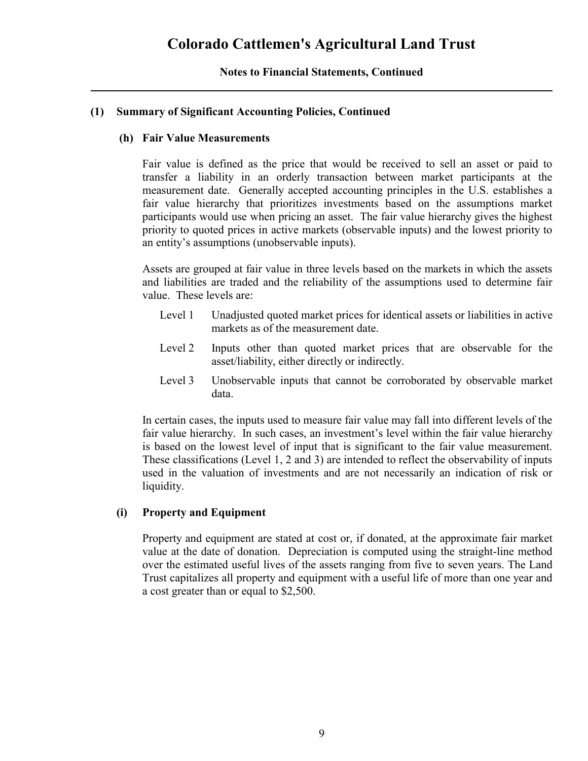## **(1) Summary of Significant Accounting Policies, Continued**

### **(h) Fair Value Measurements**

Fair value is defined as the price that would be received to sell an asset or paid to transfer a liability in an orderly transaction between market participants at the measurement date. Generally accepted accounting principles in the U.S. establishes a fair value hierarchy that prioritizes investments based on the assumptions market participants would use when pricing an asset. The fair value hierarchy gives the highest priority to quoted prices in active markets (observable inputs) and the lowest priority to an entity's assumptions (unobservable inputs).

Assets are grouped at fair value in three levels based on the markets in which the assets and liabilities are traded and the reliability of the assumptions used to determine fair value. These levels are:

- Level 1 Unadjusted quoted market prices for identical assets or liabilities in active markets as of the measurement date.
- Level 2 Inputs other than quoted market prices that are observable for the asset/liability, either directly or indirectly.
- Level 3 Unobservable inputs that cannot be corroborated by observable market data.

In certain cases, the inputs used to measure fair value may fall into different levels of the fair value hierarchy. In such cases, an investment's level within the fair value hierarchy is based on the lowest level of input that is significant to the fair value measurement. These classifications (Level 1, 2 and 3) are intended to reflect the observability of inputs used in the valuation of investments and are not necessarily an indication of risk or liquidity.

### **(i) Property and Equipment**

Property and equipment are stated at cost or, if donated, at the approximate fair market value at the date of donation. Depreciation is computed using the straight-line method over the estimated useful lives of the assets ranging from five to seven years. The Land Trust capitalizes all property and equipment with a useful life of more than one year and a cost greater than or equal to \$2,500.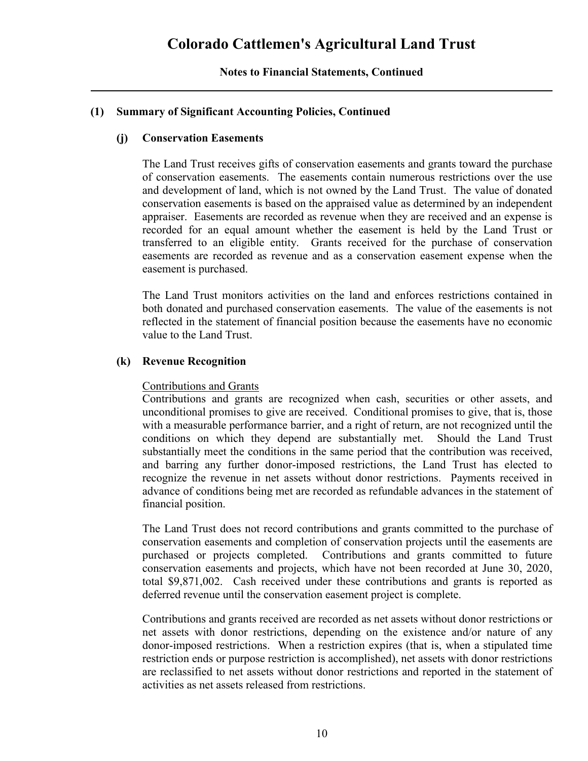## **(1) Summary of Significant Accounting Policies, Continued**

## **(j) Conservation Easements**

The Land Trust receives gifts of conservation easements and grants toward the purchase of conservation easements. The easements contain numerous restrictions over the use and development of land, which is not owned by the Land Trust. The value of donated conservation easements is based on the appraised value as determined by an independent appraiser. Easements are recorded as revenue when they are received and an expense is recorded for an equal amount whether the easement is held by the Land Trust or transferred to an eligible entity. Grants received for the purchase of conservation easements are recorded as revenue and as a conservation easement expense when the easement is purchased.

The Land Trust monitors activities on the land and enforces restrictions contained in both donated and purchased conservation easements. The value of the easements is not reflected in the statement of financial position because the easements have no economic value to the Land Trust.

### **(k) Revenue Recognition**

### Contributions and Grants

Contributions and grants are recognized when cash, securities or other assets, and unconditional promises to give are received. Conditional promises to give, that is, those with a measurable performance barrier, and a right of return, are not recognized until the conditions on which they depend are substantially met. Should the Land Trust substantially meet the conditions in the same period that the contribution was received, and barring any further donor-imposed restrictions, the Land Trust has elected to recognize the revenue in net assets without donor restrictions. Payments received in advance of conditions being met are recorded as refundable advances in the statement of financial position.

The Land Trust does not record contributions and grants committed to the purchase of conservation easements and completion of conservation projects until the easements are purchased or projects completed. Contributions and grants committed to future conservation easements and projects, which have not been recorded at June 30, 2020, total \$9,871,002. Cash received under these contributions and grants is reported as deferred revenue until the conservation easement project is complete.

Contributions and grants received are recorded as net assets without donor restrictions or net assets with donor restrictions, depending on the existence and/or nature of any donor-imposed restrictions. When a restriction expires (that is, when a stipulated time restriction ends or purpose restriction is accomplished), net assets with donor restrictions are reclassified to net assets without donor restrictions and reported in the statement of activities as net assets released from restrictions.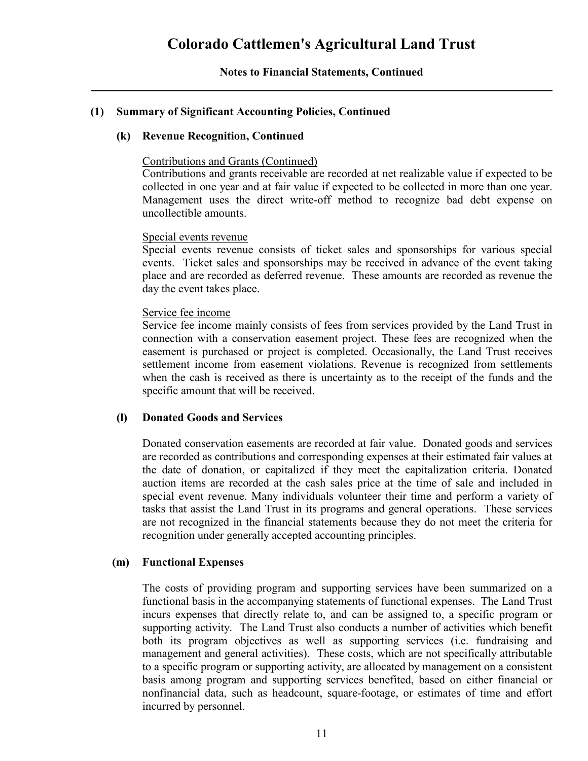# **Colorado Cattlemen's Agricultural Land Trust**

#### **Notes to Financial Statements, Continued**

#### **(1) Summary of Significant Accounting Policies, Continued**

#### **(k) Revenue Recognition, Continued**

#### Contributions and Grants (Continued)

Contributions and grants receivable are recorded at net realizable value if expected to be collected in one year and at fair value if expected to be collected in more than one year. Management uses the direct write-off method to recognize bad debt expense on uncollectible amounts.

#### Special events revenue

Special events revenue consists of ticket sales and sponsorships for various special events. Ticket sales and sponsorships may be received in advance of the event taking place and are recorded as deferred revenue. These amounts are recorded as revenue the day the event takes place.

#### Service fee income

Service fee income mainly consists of fees from services provided by the Land Trust in connection with a conservation easement project. These fees are recognized when the easement is purchased or project is completed. Occasionally, the Land Trust receives settlement income from easement violations. Revenue is recognized from settlements when the cash is received as there is uncertainty as to the receipt of the funds and the specific amount that will be received.

#### **(l) Donated Goods and Services**

Donated conservation easements are recorded at fair value. Donated goods and services are recorded as contributions and corresponding expenses at their estimated fair values at the date of donation, or capitalized if they meet the capitalization criteria. Donated auction items are recorded at the cash sales price at the time of sale and included in special event revenue. Many individuals volunteer their time and perform a variety of tasks that assist the Land Trust in its programs and general operations. These services are not recognized in the financial statements because they do not meet the criteria for recognition under generally accepted accounting principles.

#### **(m) Functional Expenses**

The costs of providing program and supporting services have been summarized on a functional basis in the accompanying statements of functional expenses. The Land Trust incurs expenses that directly relate to, and can be assigned to, a specific program or supporting activity. The Land Trust also conducts a number of activities which benefit both its program objectives as well as supporting services (i.e. fundraising and management and general activities). These costs, which are not specifically attributable to a specific program or supporting activity, are allocated by management on a consistent basis among program and supporting services benefited, based on either financial or nonfinancial data, such as headcount, square-footage, or estimates of time and effort incurred by personnel.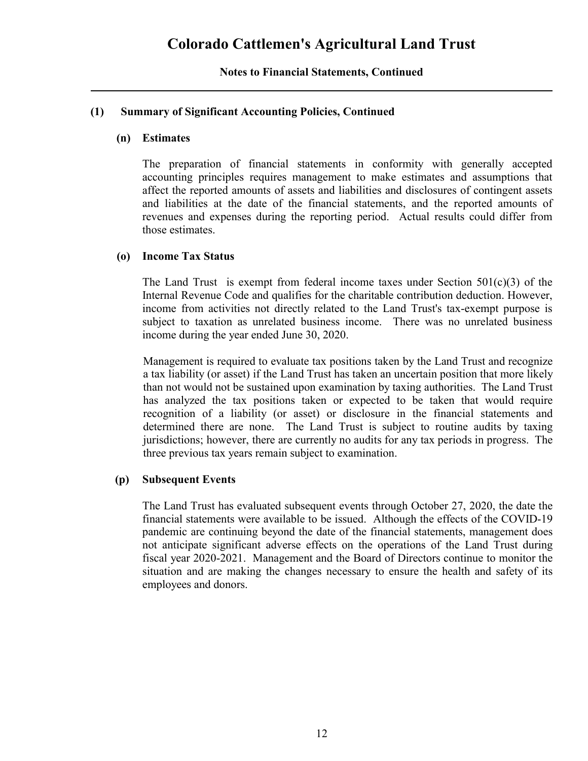## **(1) Summary of Significant Accounting Policies, Continued**

#### **(n) Estimates**

The preparation of financial statements in conformity with generally accepted accounting principles requires management to make estimates and assumptions that affect the reported amounts of assets and liabilities and disclosures of contingent assets and liabilities at the date of the financial statements, and the reported amounts of revenues and expenses during the reporting period. Actual results could differ from those estimates.

### **(o) Income Tax Status**

The Land Trust is exempt from federal income taxes under Section  $501(c)(3)$  of the Internal Revenue Code and qualifies for the charitable contribution deduction. However, income from activities not directly related to the Land Trust's tax-exempt purpose is subject to taxation as unrelated business income. There was no unrelated business income during the year ended June 30, 2020.

Management is required to evaluate tax positions taken by the Land Trust and recognize a tax liability (or asset) if the Land Trust has taken an uncertain position that more likely than not would not be sustained upon examination by taxing authorities. The Land Trust has analyzed the tax positions taken or expected to be taken that would require recognition of a liability (or asset) or disclosure in the financial statements and determined there are none. The Land Trust is subject to routine audits by taxing jurisdictions; however, there are currently no audits for any tax periods in progress. The three previous tax years remain subject to examination.

### **(p) Subsequent Events**

The Land Trust has evaluated subsequent events through October 27, 2020, the date the financial statements were available to be issued. Although the effects of the COVID-19 pandemic are continuing beyond the date of the financial statements, management does not anticipate significant adverse effects on the operations of the Land Trust during fiscal year 2020-2021. Management and the Board of Directors continue to monitor the situation and are making the changes necessary to ensure the health and safety of its employees and donors.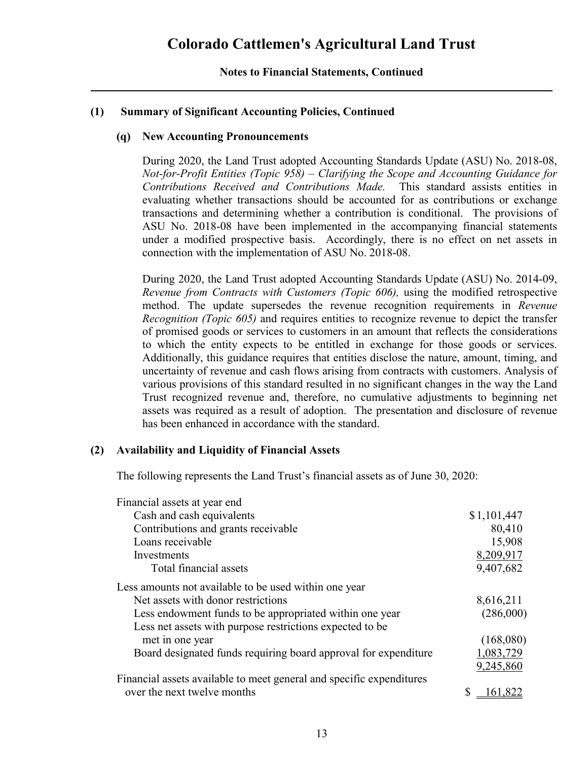# **Colorado Cattlemen's Agricultural Land Trust**

#### **Notes to Financial Statements, Continued**

### **(1) Summary of Significant Accounting Policies, Continued**

#### **(q) New Accounting Pronouncements**

During 2020, the Land Trust adopted Accounting Standards Update (ASU) No. 2018-08, *Not-for-Profit Entities (Topic 958) – Clarifying the Scope and Accounting Guidance for Contributions Received and Contributions Made.* This standard assists entities in evaluating whether transactions should be accounted for as contributions or exchange transactions and determining whether a contribution is conditional. The provisions of ASU No. 2018-08 have been implemented in the accompanying financial statements under a modified prospective basis. Accordingly, there is no effect on net assets in connection with the implementation of ASU No. 2018-08.

During 2020, the Land Trust adopted Accounting Standards Update (ASU) No. 2014-09, *Revenue from Contracts with Customers (Topic 606),* using the modified retrospective method. The update supersedes the revenue recognition requirements in *Revenue Recognition (Topic 605)* and requires entities to recognize revenue to depict the transfer of promised goods or services to customers in an amount that reflects the considerations to which the entity expects to be entitled in exchange for those goods or services. Additionally, this guidance requires that entities disclose the nature, amount, timing, and uncertainty of revenue and cash flows arising from contracts with customers. Analysis of various provisions of this standard resulted in no significant changes in the way the Land Trust recognized revenue and, therefore, no cumulative adjustments to beginning net assets was required as a result of adoption. The presentation and disclosure of revenue has been enhanced in accordance with the standard.

#### **(2) Availability and Liquidity of Financial Assets**

The following represents the Land Trust's financial assets as of June 30, 2020:

| Financial assets at year end                                         |             |
|----------------------------------------------------------------------|-------------|
| Cash and cash equivalents                                            | \$1,101,447 |
| Contributions and grants receivable                                  | 80,410      |
| Loans receivable                                                     | 15,908      |
| Investments                                                          | 8,209,917   |
| Total financial assets                                               | 9,407,682   |
| Less amounts not available to be used within one year                |             |
| Net assets with donor restrictions                                   | 8,616,211   |
| Less endowment funds to be appropriated within one year              | (286,000)   |
| Less net assets with purpose restrictions expected to be             |             |
| met in one year                                                      | (168,080)   |
| Board designated funds requiring board approval for expenditure      | 1,083,729   |
|                                                                      | 9,245,860   |
| Financial assets available to meet general and specific expenditures |             |
| over the next twelve months                                          |             |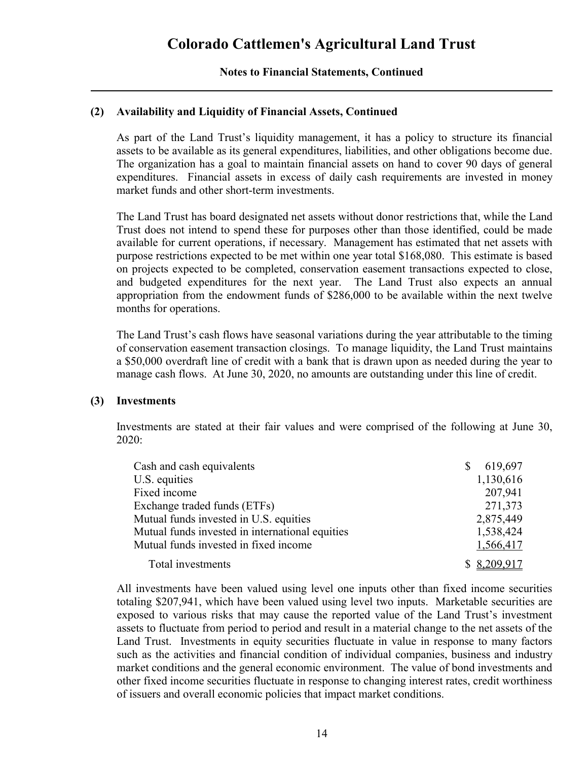## **(2) Availability and Liquidity of Financial Assets, Continued**

As part of the Land Trust's liquidity management, it has a policy to structure its financial assets to be available as its general expenditures, liabilities, and other obligations become due. The organization has a goal to maintain financial assets on hand to cover 90 days of general expenditures. Financial assets in excess of daily cash requirements are invested in money market funds and other short-term investments.

The Land Trust has board designated net assets without donor restrictions that, while the Land Trust does not intend to spend these for purposes other than those identified, could be made available for current operations, if necessary. Management has estimated that net assets with purpose restrictions expected to be met within one year total \$168,080. This estimate is based on projects expected to be completed, conservation easement transactions expected to close, and budgeted expenditures for the next year. The Land Trust also expects an annual appropriation from the endowment funds of \$286,000 to be available within the next twelve months for operations.

The Land Trust's cash flows have seasonal variations during the year attributable to the timing of conservation easement transaction closings. To manage liquidity, the Land Trust maintains a \$50,000 overdraft line of credit with a bank that is drawn upon as needed during the year to manage cash flows. At June 30, 2020, no amounts are outstanding under this line of credit.

### **(3) Investments**

Investments are stated at their fair values and were comprised of the following at June 30, 2020:

| Cash and cash equivalents                       | 619,697      |
|-------------------------------------------------|--------------|
| U.S. equities                                   | 1,130,616    |
| Fixed income                                    | 207,941      |
| Exchange traded funds (ETFs)                    | 271,373      |
| Mutual funds invested in U.S. equities          | 2,875,449    |
| Mutual funds invested in international equities | 1,538,424    |
| Mutual funds invested in fixed income           | 1,566,417    |
| Total investments                               | \$ 8,209,917 |

All investments have been valued using level one inputs other than fixed income securities totaling \$207,941, which have been valued using level two inputs. Marketable securities are exposed to various risks that may cause the reported value of the Land Trust's investment assets to fluctuate from period to period and result in a material change to the net assets of the Land Trust. Investments in equity securities fluctuate in value in response to many factors such as the activities and financial condition of individual companies, business and industry market conditions and the general economic environment. The value of bond investments and other fixed income securities fluctuate in response to changing interest rates, credit worthiness of issuers and overall economic policies that impact market conditions.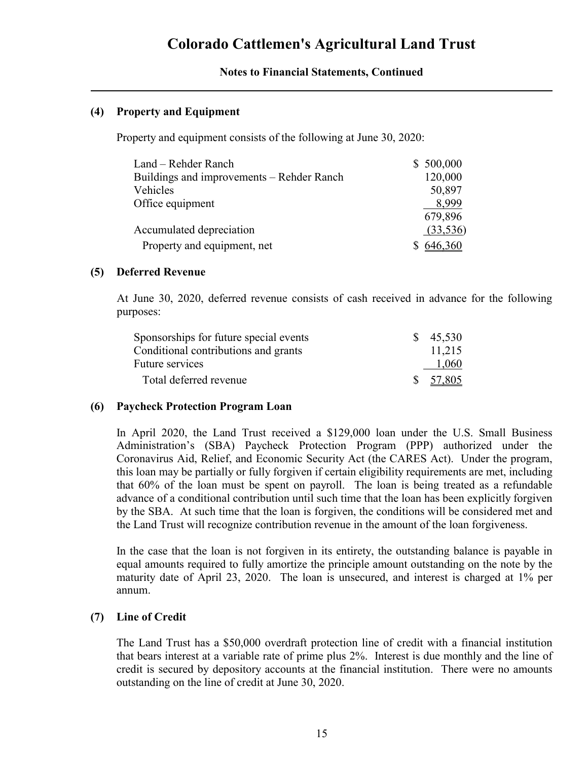## **(4) Property and Equipment**

Property and equipment consists of the following at June 30, 2020:

| Land – Rehder Ranch                       | \$500,000 |
|-------------------------------------------|-----------|
| Buildings and improvements – Rehder Ranch | 120,000   |
| Vehicles                                  | 50,897    |
| Office equipment                          | 8.999     |
|                                           | 679,896   |
| Accumulated depreciation                  | (33,536)  |
| Property and equipment, net               | 646,360   |

## **(5) Deferred Revenue**

At June 30, 2020, deferred revenue consists of cash received in advance for the following purposes:

| Sponsorships for future special events | \$45,530 |
|----------------------------------------|----------|
| Conditional contributions and grants   | 11,215   |
| Future services                        | 1,060    |
| Total deferred revenue                 | \$57,805 |

### **(6) Paycheck Protection Program Loan**

In April 2020, the Land Trust received a \$129,000 loan under the U.S. Small Business Administration's (SBA) Paycheck Protection Program (PPP) authorized under the Coronavirus Aid, Relief, and Economic Security Act (the CARES Act). Under the program, this loan may be partially or fully forgiven if certain eligibility requirements are met, including that 60% of the loan must be spent on payroll. The loan is being treated as a refundable advance of a conditional contribution until such time that the loan has been explicitly forgiven by the SBA. At such time that the loan is forgiven, the conditions will be considered met and the Land Trust will recognize contribution revenue in the amount of the loan forgiveness.

In the case that the loan is not forgiven in its entirety, the outstanding balance is payable in equal amounts required to fully amortize the principle amount outstanding on the note by the maturity date of April 23, 2020. The loan is unsecured, and interest is charged at 1% per annum.

## **(7) Line of Credit**

The Land Trust has a \$50,000 overdraft protection line of credit with a financial institution that bears interest at a variable rate of prime plus 2%. Interest is due monthly and the line of credit is secured by depository accounts at the financial institution. There were no amounts outstanding on the line of credit at June 30, 2020.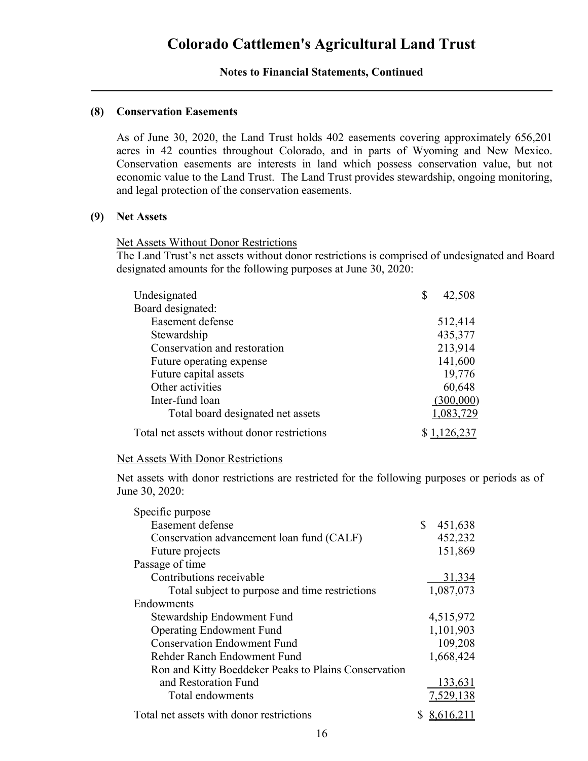#### **(8) Conservation Easements**

As of June 30, 2020, the Land Trust holds 402 easements covering approximately 656,201 acres in 42 counties throughout Colorado, and in parts of Wyoming and New Mexico. Conservation easements are interests in land which possess conservation value, but not economic value to the Land Trust. The Land Trust provides stewardship, ongoing monitoring, and legal protection of the conservation easements.

### **(9) Net Assets**

#### Net Assets Without Donor Restrictions

The Land Trust's net assets without donor restrictions is comprised of undesignated and Board designated amounts for the following purposes at June 30, 2020:

| Undesignated                                | S | 42,508    |
|---------------------------------------------|---|-----------|
| Board designated:                           |   |           |
| Easement defense                            |   | 512,414   |
| Stewardship                                 |   | 435,377   |
| Conservation and restoration                |   | 213,914   |
| Future operating expense                    |   | 141,600   |
| Future capital assets                       |   | 19,776    |
| Other activities                            |   | 60,648    |
| Inter-fund loan                             |   | (300,000) |
| Total board designated net assets           |   | 1,083,729 |
| Total net assets without donor restrictions |   | 1,126,237 |

#### Net Assets With Donor Restrictions

Net assets with donor restrictions are restricted for the following purposes or periods as of June 30, 2020:

| Specific purpose                                     |           |
|------------------------------------------------------|-----------|
| <b>Easement</b> defense                              | 451,638   |
| Conservation advancement loan fund (CALF)            | 452,232   |
| Future projects                                      | 151,869   |
| Passage of time                                      |           |
| Contributions receivable                             | 31,334    |
| Total subject to purpose and time restrictions       | 1,087,073 |
| Endowments                                           |           |
| Stewardship Endowment Fund                           | 4,515,972 |
| <b>Operating Endowment Fund</b>                      | 1,101,903 |
| <b>Conservation Endowment Fund</b>                   | 109,208   |
| Rehder Ranch Endowment Fund                          | 1,668,424 |
| Ron and Kitty Boeddeker Peaks to Plains Conservation |           |
| and Restoration Fund                                 | 133,631   |
| Total endowments                                     | 7,529,138 |
| Total net assets with donor restrictions             | 8,616,211 |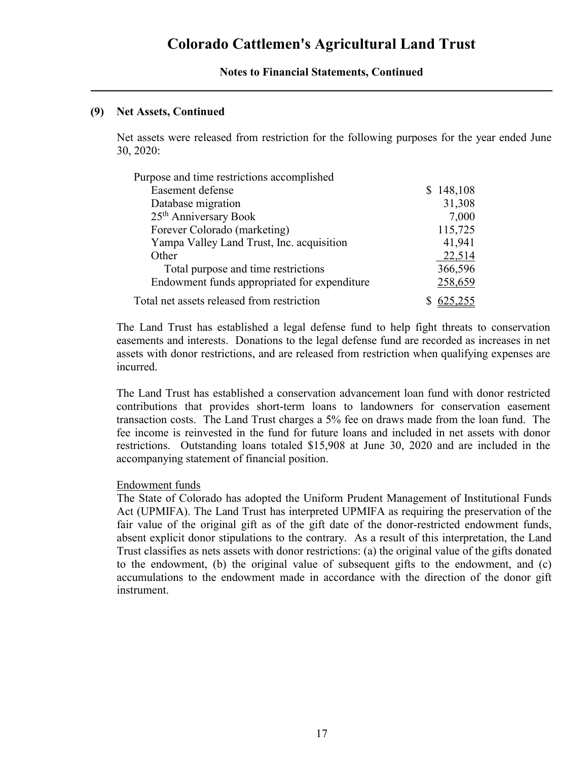# **Colorado Cattlemen's Agricultural Land Trust**

#### **Notes to Financial Statements, Continued**

#### **(9) Net Assets, Continued**

Net assets were released from restriction for the following purposes for the year ended June 30, 2020:

| Purpose and time restrictions accomplished   |           |
|----------------------------------------------|-----------|
| Easement defense                             | \$148,108 |
| Database migration                           | 31,308    |
| 25 <sup>th</sup> Anniversary Book            | 7,000     |
| Forever Colorado (marketing)                 | 115,725   |
| Yampa Valley Land Trust, Inc. acquisition    | 41,941    |
| Other                                        | 22,514    |
| Total purpose and time restrictions          | 366,596   |
| Endowment funds appropriated for expenditure | 258,659   |
| Total net assets released from restriction   | 625, 255  |

The Land Trust has established a legal defense fund to help fight threats to conservation easements and interests. Donations to the legal defense fund are recorded as increases in net assets with donor restrictions, and are released from restriction when qualifying expenses are incurred.

The Land Trust has established a conservation advancement loan fund with donor restricted contributions that provides short-term loans to landowners for conservation easement transaction costs. The Land Trust charges a 5% fee on draws made from the loan fund. The fee income is reinvested in the fund for future loans and included in net assets with donor restrictions. Outstanding loans totaled \$15,908 at June 30, 2020 and are included in the accompanying statement of financial position.

#### Endowment funds

The State of Colorado has adopted the Uniform Prudent Management of Institutional Funds Act (UPMIFA). The Land Trust has interpreted UPMIFA as requiring the preservation of the fair value of the original gift as of the gift date of the donor-restricted endowment funds, absent explicit donor stipulations to the contrary. As a result of this interpretation, the Land Trust classifies as nets assets with donor restrictions: (a) the original value of the gifts donated to the endowment, (b) the original value of subsequent gifts to the endowment, and (c) accumulations to the endowment made in accordance with the direction of the donor gift instrument.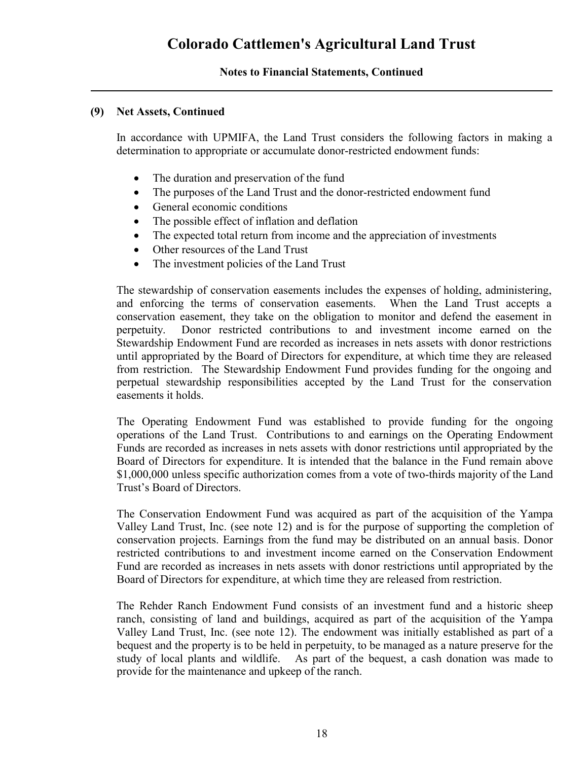## **(9) Net Assets, Continued**

In accordance with UPMIFA, the Land Trust considers the following factors in making a determination to appropriate or accumulate donor-restricted endowment funds:

- The duration and preservation of the fund
- The purposes of the Land Trust and the donor-restricted endowment fund
- General economic conditions
- The possible effect of inflation and deflation
- The expected total return from income and the appreciation of investments
- Other resources of the Land Trust
- The investment policies of the Land Trust

The stewardship of conservation easements includes the expenses of holding, administering, and enforcing the terms of conservation easements. When the Land Trust accepts a conservation easement, they take on the obligation to monitor and defend the easement in perpetuity. Donor restricted contributions to and investment income earned on the Stewardship Endowment Fund are recorded as increases in nets assets with donor restrictions until appropriated by the Board of Directors for expenditure, at which time they are released from restriction. The Stewardship Endowment Fund provides funding for the ongoing and perpetual stewardship responsibilities accepted by the Land Trust for the conservation easements it holds.

The Operating Endowment Fund was established to provide funding for the ongoing operations of the Land Trust. Contributions to and earnings on the Operating Endowment Funds are recorded as increases in nets assets with donor restrictions until appropriated by the Board of Directors for expenditure. It is intended that the balance in the Fund remain above \$1,000,000 unless specific authorization comes from a vote of two-thirds majority of the Land Trust's Board of Directors.

The Conservation Endowment Fund was acquired as part of the acquisition of the Yampa Valley Land Trust, Inc. (see note 12) and is for the purpose of supporting the completion of conservation projects. Earnings from the fund may be distributed on an annual basis. Donor restricted contributions to and investment income earned on the Conservation Endowment Fund are recorded as increases in nets assets with donor restrictions until appropriated by the Board of Directors for expenditure, at which time they are released from restriction.

The Rehder Ranch Endowment Fund consists of an investment fund and a historic sheep ranch, consisting of land and buildings, acquired as part of the acquisition of the Yampa Valley Land Trust, Inc. (see note 12). The endowment was initially established as part of a bequest and the property is to be held in perpetuity, to be managed as a nature preserve for the study of local plants and wildlife. As part of the bequest, a cash donation was made to provide for the maintenance and upkeep of the ranch.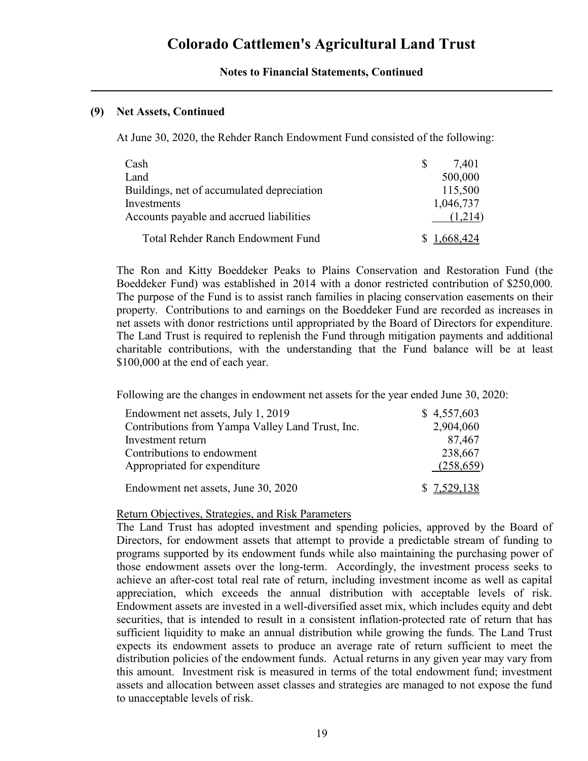## **(9) Net Assets, Continued**

At June 30, 2020, the Rehder Ranch Endowment Fund consisted of the following:

| Cash                                       | 7,401       |
|--------------------------------------------|-------------|
| Land                                       | 500,000     |
| Buildings, net of accumulated depreciation | 115,500     |
| Investments                                | 1,046,737   |
| Accounts payable and accrued liabilities   | (1,214)     |
| <b>Total Rehder Ranch Endowment Fund</b>   | \$1,668,424 |

The Ron and Kitty Boeddeker Peaks to Plains Conservation and Restoration Fund (the Boeddeker Fund) was established in 2014 with a donor restricted contribution of \$250,000. The purpose of the Fund is to assist ranch families in placing conservation easements on their property. Contributions to and earnings on the Boeddeker Fund are recorded as increases in net assets with donor restrictions until appropriated by the Board of Directors for expenditure. The Land Trust is required to replenish the Fund through mitigation payments and additional charitable contributions, with the understanding that the Fund balance will be at least \$100,000 at the end of each year.

Following are the changes in endowment net assets for the year ended June 30, 2020:

| Endowment net assets, July 1, 2019               | \$4,557,603 |
|--------------------------------------------------|-------------|
| Contributions from Yampa Valley Land Trust, Inc. | 2,904,060   |
| Investment return                                | 87,467      |
| Contributions to endowment                       | 238,667     |
| Appropriated for expenditure                     | (258, 659)  |
| Endowment net assets, June 30, 2020              | \$7,529,138 |

#### Return Objectives, Strategies, and Risk Parameters

The Land Trust has adopted investment and spending policies, approved by the Board of Directors, for endowment assets that attempt to provide a predictable stream of funding to programs supported by its endowment funds while also maintaining the purchasing power of those endowment assets over the long-term. Accordingly, the investment process seeks to achieve an after-cost total real rate of return, including investment income as well as capital appreciation, which exceeds the annual distribution with acceptable levels of risk. Endowment assets are invested in a well-diversified asset mix, which includes equity and debt securities, that is intended to result in a consistent inflation-protected rate of return that has sufficient liquidity to make an annual distribution while growing the funds. The Land Trust expects its endowment assets to produce an average rate of return sufficient to meet the distribution policies of the endowment funds. Actual returns in any given year may vary from this amount. Investment risk is measured in terms of the total endowment fund; investment assets and allocation between asset classes and strategies are managed to not expose the fund to unacceptable levels of risk.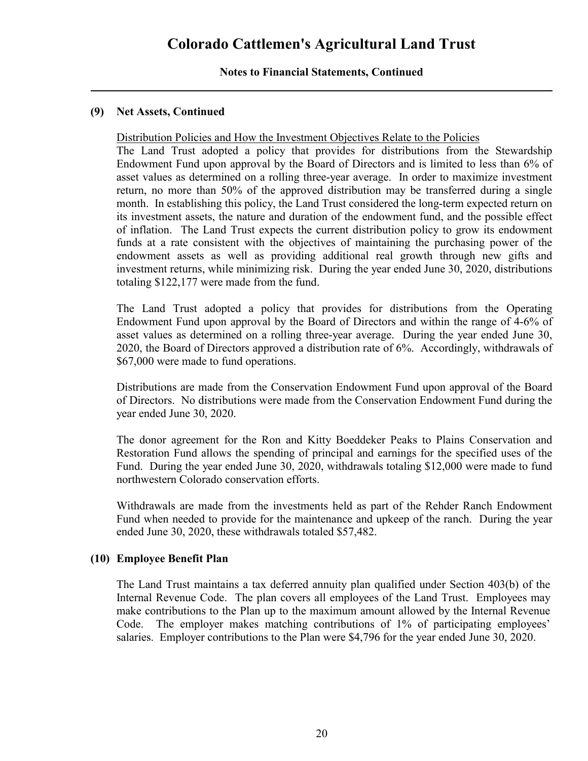## **(9) Net Assets, Continued**

Distribution Policies and How the Investment Objectives Relate to the Policies

The Land Trust adopted a policy that provides for distributions from the Stewardship Endowment Fund upon approval by the Board of Directors and is limited to less than 6% of asset values as determined on a rolling three-year average. In order to maximize investment return, no more than 50% of the approved distribution may be transferred during a single month. In establishing this policy, the Land Trust considered the long-term expected return on its investment assets, the nature and duration of the endowment fund, and the possible effect of inflation. The Land Trust expects the current distribution policy to grow its endowment funds at a rate consistent with the objectives of maintaining the purchasing power of the endowment assets as well as providing additional real growth through new gifts and investment returns, while minimizing risk. During the year ended June 30, 2020, distributions totaling \$122,177 were made from the fund.

The Land Trust adopted a policy that provides for distributions from the Operating Endowment Fund upon approval by the Board of Directors and within the range of 4-6% of asset values as determined on a rolling three-year average. During the year ended June 30, 2020, the Board of Directors approved a distribution rate of 6%. Accordingly, withdrawals of \$67,000 were made to fund operations.

Distributions are made from the Conservation Endowment Fund upon approval of the Board of Directors. No distributions were made from the Conservation Endowment Fund during the year ended June 30, 2020.

The donor agreement for the Ron and Kitty Boeddeker Peaks to Plains Conservation and Restoration Fund allows the spending of principal and earnings for the specified uses of the Fund. During the year ended June 30, 2020, withdrawals totaling \$12,000 were made to fund northwestern Colorado conservation efforts.

Withdrawals are made from the investments held as part of the Rehder Ranch Endowment Fund when needed to provide for the maintenance and upkeep of the ranch. During the year ended June 30, 2020, these withdrawals totaled \$57,482.

### **(10) Employee Benefit Plan**

The Land Trust maintains a tax deferred annuity plan qualified under Section 403(b) of the Internal Revenue Code. The plan covers all employees of the Land Trust. Employees may make contributions to the Plan up to the maximum amount allowed by the Internal Revenue Code. The employer makes matching contributions of 1% of participating employees' salaries. Employer contributions to the Plan were \$4,796 for the year ended June 30, 2020.